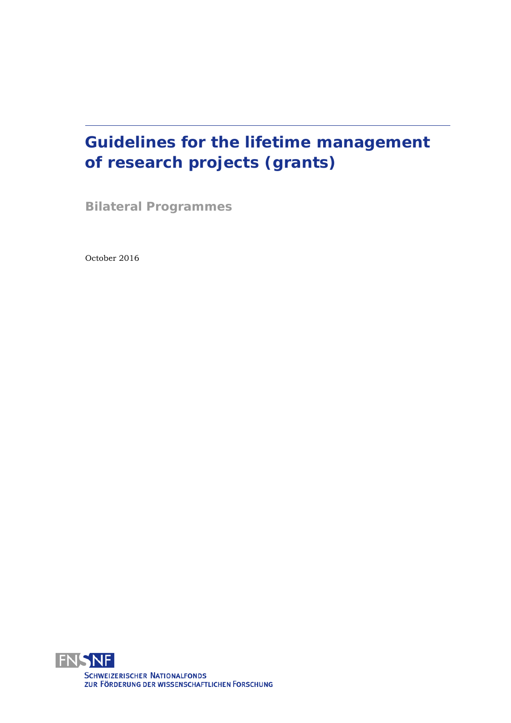# **Guidelines for the lifetime management of research projects (grants)**

**Bilateral Programmes**

October 2016

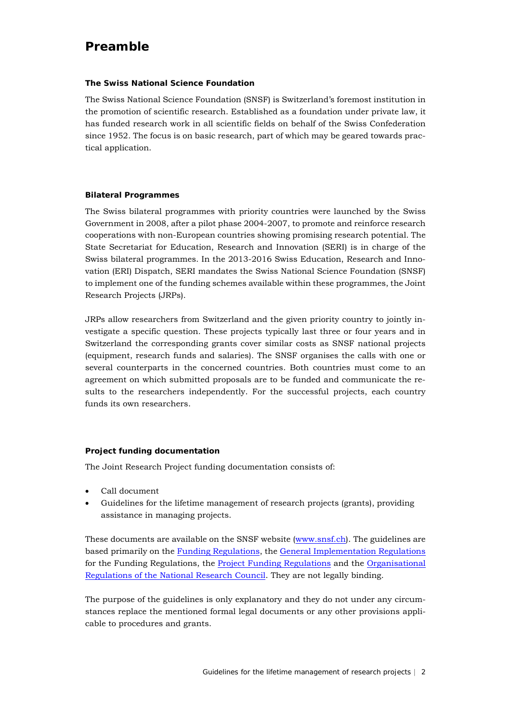### <span id="page-1-0"></span>**Preamble**

#### **The Swiss National Science Foundation**

The Swiss National Science Foundation (SNSF) is Switzerland's foremost institution in the promotion of scientific research. Established as a foundation under private law, it has funded research work in all scientific fields on behalf of the Swiss Confederation since 1952. The focus is on basic research, part of which may be geared towards practical application.

#### **Bilateral Programmes**

The Swiss bilateral programmes with priority countries were launched by the Swiss Government in 2008, after a pilot phase 2004-2007, to promote and reinforce research cooperations with non-European countries showing promising research potential. The State Secretariat for Education, Research and Innovation (SERI) is in charge of the Swiss bilateral programmes. In the 2013-2016 Swiss Education, Research and Innovation (ERI) Dispatch, SERI mandates the Swiss National Science Foundation (SNSF) to implement one of the funding schemes available within these programmes, the Joint Research Projects (JRPs).

JRPs allow researchers from Switzerland and the given priority country to jointly investigate a specific question. These projects typically last three or four years and in Switzerland the corresponding grants cover similar costs as SNSF national projects (equipment, research funds and salaries). The SNSF organises the calls with one or several counterparts in the concerned countries. Both countries must come to an agreement on which submitted proposals are to be funded and communicate the results to the researchers independently. For the successful projects, each country funds its own researchers.

#### **Project funding documentation**

The Joint Research Project funding documentation consists of:

- Call document
- Guidelines for the lifetime management of research projects (grants), providing assistance in managing projects.

These documents are available on the SNSF website [\(www.snsf.ch\)](http://www.snsf.ch/). The guidelines are based primarily on the [Funding Regulations,](http://www.snf.ch/SiteCollectionDocuments/allg_reglement_16_e.pdf) the [General Implementation Regulations](http://www.snf.ch/SiteCollectionDocuments/snsf-general-implementation-regulations-for-the-funding-regulations-e.pdf) for the Funding Regulations, the [Project Funding Regulations](http://www.snf.ch/SiteCollectionDocuments/projektfoerderungsreglement-e.pdf) and the [Organisational](http://www.snf.ch/SiteCollectionDocuments/por_org_rec_reglement_e.pdf)  [Regulations of the National Research Council.](http://www.snf.ch/SiteCollectionDocuments/por_org_rec_reglement_e.pdf) They are not legally binding.

The purpose of the guidelines is only explanatory and they do not under any circumstances replace the mentioned formal legal documents or any other provisions applicable to procedures and grants.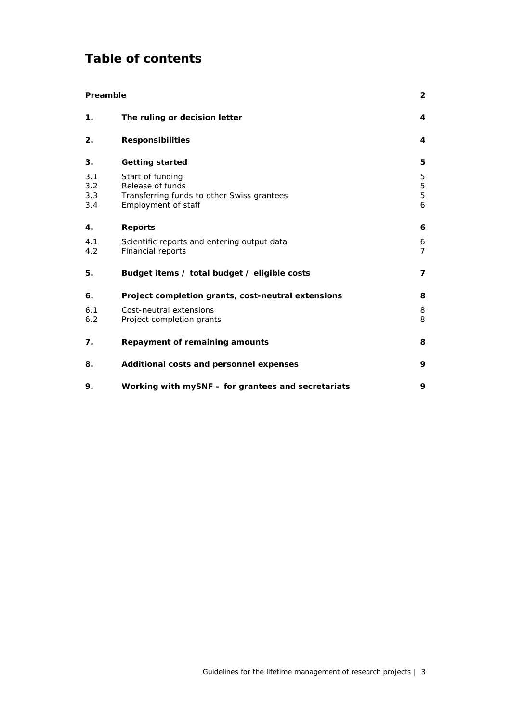# **Table of contents**

| Preamble                 |                                                                                                           | 2                   |
|--------------------------|-----------------------------------------------------------------------------------------------------------|---------------------|
| 1.                       | The ruling or decision letter                                                                             | 4                   |
| 2.                       | <b>Responsibilities</b>                                                                                   | 4                   |
| 3.                       | <b>Getting started</b>                                                                                    | 5                   |
| 3.1<br>3.2<br>3.3<br>3.4 | Start of funding<br>Release of funds<br>Transferring funds to other Swiss grantees<br>Employment of staff | 5<br>5<br>5<br>6    |
| 4.                       | <b>Reports</b>                                                                                            | 6                   |
| 4.1<br>4.2               | Scientific reports and entering output data<br>Financial reports                                          | 6<br>$\overline{7}$ |
| 5.                       | Budget items / total budget / eligible costs                                                              | 7                   |
| 6.                       | Project completion grants, cost-neutral extensions                                                        | 8                   |
| 6.1<br>6.2               | Cost-neutral extensions<br>Project completion grants                                                      | 8<br>8              |
| 7.                       | Repayment of remaining amounts                                                                            | 8                   |
| 8.                       | Additional costs and personnel expenses                                                                   | 9                   |
| 9.                       | Working with mySNF – for grantees and secretariats                                                        | 9                   |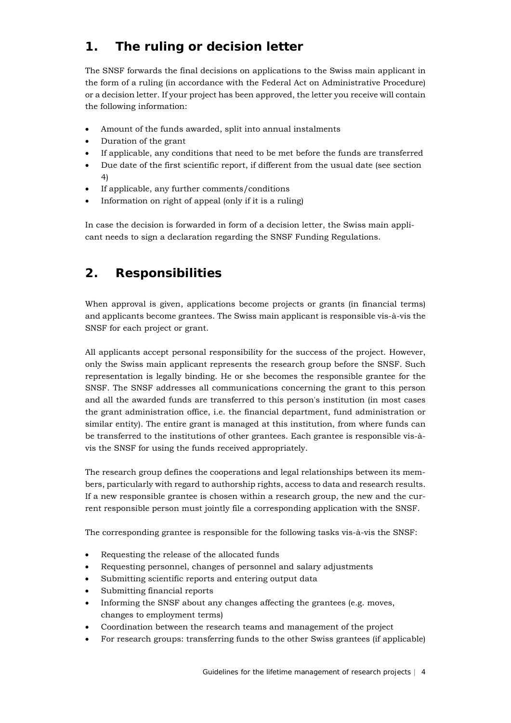# <span id="page-3-0"></span>**1. The ruling or decision letter**

The SNSF forwards the final decisions on applications to the Swiss main applicant in the form of a ruling (in accordance with the Federal Act on Administrative Procedure) or a decision letter. If your project has been approved, the letter you receive will contain the following information:

- Amount of the funds awarded, split into annual instalments
- Duration of the grant
- If applicable, any conditions that need to be met before the funds are transferred
- Due date of the first scientific report, if different from the usual date (see section 4)
- If applicable, any further comments/conditions
- Information on right of appeal (only if it is a ruling)

In case the decision is forwarded in form of a decision letter, the Swiss main applicant needs to sign a declaration regarding the SNSF Funding Regulations.

# <span id="page-3-1"></span>**2. Responsibilities**

When approval is given, applications become projects or grants (in financial terms) and applicants become grantees. The Swiss main applicant is responsible vis-à-vis the SNSF for each project or grant.

All applicants accept personal responsibility for the success of the project. However, only the Swiss main applicant represents the research group before the SNSF. Such representation is legally binding. He or she becomes the responsible grantee for the SNSF. The SNSF addresses all communications concerning the grant to this person and all the awarded funds are transferred to this person's institution (in most cases the grant administration office, i.e. the financial department, fund administration or similar entity). The entire grant is managed at this institution, from where funds can be transferred to the institutions of other grantees. Each grantee is responsible vis-àvis the SNSF for using the funds received appropriately.

The research group defines the cooperations and legal relationships between its members, particularly with regard to authorship rights, access to data and research results. If a new responsible grantee is chosen within a research group, the new and the current responsible person must jointly file a corresponding application with the SNSF.

The corresponding grantee is responsible for the following tasks vis-à-vis the SNSF:

- Requesting the release of the allocated funds
- Requesting personnel, changes of personnel and salary adjustments
- Submitting scientific reports and entering output data
- Submitting financial reports
- Informing the SNSF about any changes affecting the grantees (e.g. moves, changes to employment terms)
- Coordination between the research teams and management of the project
- For research groups: transferring funds to the other Swiss grantees (if applicable)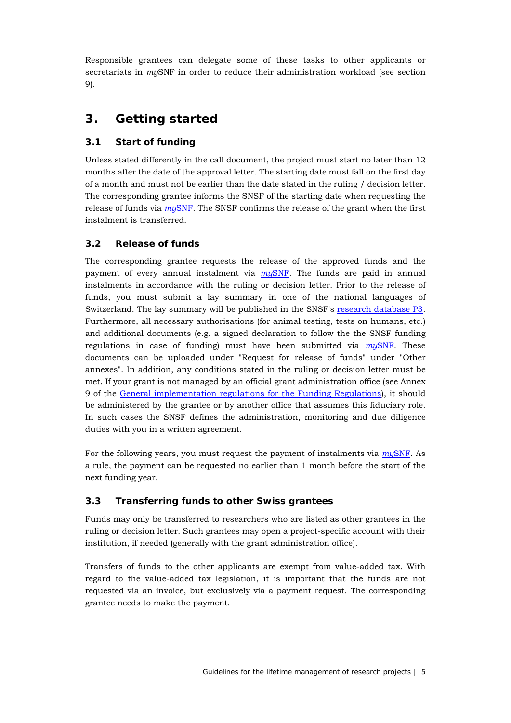Responsible grantees can delegate some of these tasks to other applicants or secretariats in *my*SNF in order to reduce their administration workload (see section 9).

### <span id="page-4-0"></span>**3. Getting started**

### <span id="page-4-1"></span>**3.1 Start of funding**

Unless stated differently in the call document, the project must start no later than 12 months after the date of the approval letter. The starting date must fall on the first day of a month and must not be earlier than the date stated in the ruling / decision letter. The corresponding grantee informs the SNSF of the starting date when requesting the release of funds via *my*[SNF.](http://www.mysnf.ch/) The SNSF confirms the release of the grant when the first instalment is transferred.

### <span id="page-4-2"></span>**3.2 Release of funds**

The corresponding grantee requests the release of the approved funds and the payment of every annual instalment via *my*[SNF.](http://www.mysnf.ch/) The funds are paid in annual instalments in accordance with the ruling or decision letter. Prior to the release of funds, you must submit a lay summary in one of the national languages of Switzerland. The lay summary will be published in the SNSF's [research database P3.](http://p3.snf.ch/) Furthermore, all necessary authorisations (for animal testing, tests on humans, etc.) and additional documents (e.g. a signed declaration to follow the the SNSF funding regulations in case of funding) must have been submitted via *my*[SNF.](http://www.mysnf.ch/) These documents can be uploaded under "Request for release of funds" under "Other annexes". In addition, any conditions stated in the ruling or decision letter must be met. If your grant is not managed by an official grant administration office (see Annex 9 of the [General implementation regulations for the Funding Regulations\)](http://www.snf.ch/SiteCollectionDocuments/snf-ausfuehrungsreglement_beitragsreglement_d.pdf), it should be administered by the grantee or by another office that assumes this fiduciary role. In such cases the SNSF defines the administration, monitoring and due diligence duties with you in a written agreement.

For the following years, you must request the payment of instalments via *my*[SNF.](http://www.mysnf.ch/) As a rule, the payment can be requested no earlier than 1 month before the start of the next funding year.

#### <span id="page-4-3"></span>**3.3 Transferring funds to other Swiss grantees**

Funds may only be transferred to researchers who are listed as other grantees in the ruling or decision letter. Such grantees may open a project-specific account with their institution, if needed (generally with the grant administration office).

<span id="page-4-4"></span>Transfers of funds to the other applicants are exempt from value-added tax. With regard to the value-added tax legislation, it is important that the funds are not requested via an invoice, but exclusively via a payment request. The corresponding grantee needs to make the payment.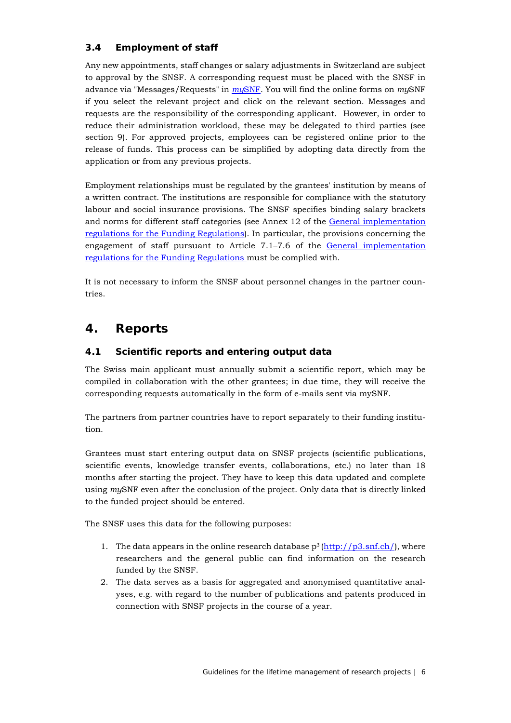### **3.4 Employment of staff**

Any new appointments, staff changes or salary adjustments in Switzerland are subject to approval by the SNSF. A corresponding request must be placed with the SNSF in advance via "Messages/Requests" in *my*[SNF.](http://www.mysnf.ch/) You will find the online forms on *my*SNF if you select the relevant project and click on the relevant section. Messages and requests are the responsibility of the corresponding applicant. However, in order to reduce their administration workload, these may be delegated to third parties (see section 9). For approved projects, employees can be registered online prior to the release of funds. This process can be simplified by adopting data directly from the application or from any previous projects.

Employment relationships must be regulated by the grantees' institution by means of a written contract. The institutions are responsible for compliance with the statutory labour and social insurance provisions. The SNSF specifies binding salary brackets and norms for different staff categories (see Annex 12 of the [General implementation](http://www.snf.ch/SiteCollectionDocuments/snsf-general-implementation-regulations-for-the-funding-regulations-e.pdf)  [regulations for the Funding Regulations\)](http://www.snf.ch/SiteCollectionDocuments/snsf-general-implementation-regulations-for-the-funding-regulations-e.pdf). In particular, the provisions concerning the engagement of staff pursuant to Article 7.1–7.6 of the [General implementation](http://www.snf.ch/SiteCollectionDocuments/snsf-general-implementation-regulations-for-the-funding-regulations-e.pdf)  [regulations for the Funding Regulations](http://www.snf.ch/SiteCollectionDocuments/snsf-general-implementation-regulations-for-the-funding-regulations-e.pdf) must be complied with.

It is not necessary to inform the SNSF about personnel changes in the partner countries.

### <span id="page-5-0"></span>**4. Reports**

#### <span id="page-5-1"></span>**4.1 Scientific reports and entering output data**

The Swiss main applicant must annually submit a scientific report, which may be compiled in collaboration with the other grantees; in due time, they will receive the corresponding requests automatically in the form of e-mails sent via mySNF.

The partners from partner countries have to report separately to their funding institution.

Grantees must start entering output data on SNSF projects (scientific publications, scientific events, knowledge transfer events, collaborations, etc.) no later than 18 months after starting the project. They have to keep this data updated and complete using *my*SNF even after the conclusion of the project. Only data that is directly linked to the funded project should be entered.

The SNSF uses this data for the following purposes:

- 1. The data appears in the online research database  $p^3$  [\(http://p3.snf.ch/\)](http://p3.snf.ch/), where researchers and the general public can find information on the research funded by the SNSF.
- <span id="page-5-2"></span>2. The data serves as a basis for aggregated and anonymised quantitative analyses, e.g. with regard to the number of publications and patents produced in connection with SNSF projects in the course of a year.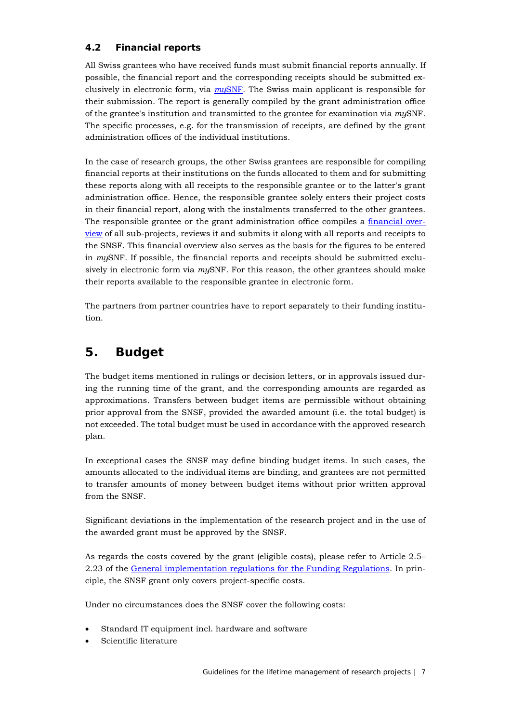### **4.2 Financial reports**

All Swiss grantees who have received funds must submit financial reports annually. If possible, the financial report and the corresponding receipts should be submitted exclusively in electronic form, via *my*[SNF.](http://www.mysnf.ch/) The Swiss main applicant is responsible for their submission. The report is generally compiled by the grant administration office of the grantee's institution and transmitted to the grantee for examination via *my*SNF. The specific processes, e.g. for the transmission of receipts, are defined by the grant administration offices of the individual institutions.

In the case of research groups, the other Swiss grantees are responsible for compiling financial reports at their institutions on the funds allocated to them and for submitting these reports along with all receipts to the responsible grantee or to the latter's grant administration office. Hence, the responsible grantee solely enters their project costs in their financial report, along with the instalments transferred to the other grantees. The responsible grantee or the grant administration office compiles a [financial over](http://www.snf.ch/sitecollectiondocuments/snf_finanzielle_zusammenstellung_e.xls)[view](http://www.snf.ch/sitecollectiondocuments/snf_finanzielle_zusammenstellung_e.xls) of all sub-projects, reviews it and submits it along with all reports and receipts to the SNSF. This financial overview also serves as the basis for the figures to be entered in *my*SNF. If possible, the financial reports and receipts should be submitted exclusively in electronic form via *my*SNF. For this reason, the other grantees should make their reports available to the responsible grantee in electronic form.

The partners from partner countries have to report separately to their funding institution.

### <span id="page-6-0"></span>**5. Budget**

The budget items mentioned in rulings or decision letters, or in approvals issued during the running time of the grant, and the corresponding amounts are regarded as approximations. Transfers between budget items are permissible without obtaining prior approval from the SNSF, provided the awarded amount (i.e. the total budget) is not exceeded. The total budget must be used in accordance with the approved research plan.

In exceptional cases the SNSF may define binding budget items. In such cases, the amounts allocated to the individual items are binding, and grantees are not permitted to transfer amounts of money between budget items without prior written approval from the SNSF.

Significant deviations in the implementation of the research project and in the use of the awarded grant must be approved by the SNSF.

As regards the costs covered by the grant (eligible costs), please refer to Article 2.5– 2.23 of the [General implementation regulations for the Funding Regulations.](http://www.snf.ch/SiteCollectionDocuments/snsf-general-implementation-regulations-for-the-funding-regulations-e.pdf) In principle, the SNSF grant only covers project-specific costs.

Under no circumstances does the SNSF cover the following costs:

- Standard IT equipment incl. hardware and software
- Scientific literature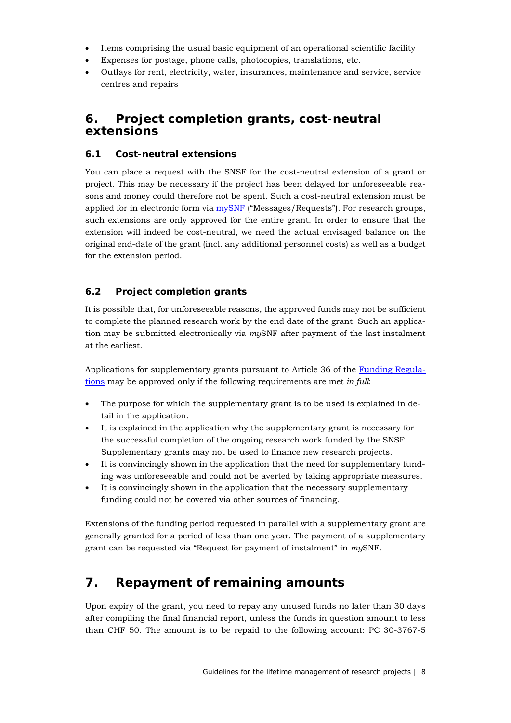- Items comprising the usual basic equipment of an operational scientific facility
- Expenses for postage, phone calls, photocopies, translations, etc.
- Outlays for rent, electricity, water, insurances, maintenance and service, service centres and repairs

### <span id="page-7-0"></span>**6. Project completion grants, cost-neutral extensions**

#### <span id="page-7-1"></span>**6.1 Cost-neutral extensions**

You can place a request with the SNSF for the cost-neutral extension of a grant or project. This may be necessary if the project has been delayed for unforeseeable reasons and money could therefore not be spent. Such a cost-neutral extension must be applied for in electronic form via [mySNF](http://www.mysnf.ch/) ("Messages/Requests"). For research groups, such extensions are only approved for the entire grant. In order to ensure that the extension will indeed be cost-neutral, we need the actual envisaged balance on the original end-date of the grant (incl. any additional personnel costs) as well as a budget for the extension period.

#### <span id="page-7-2"></span>**6.2 Project completion grants**

It is possible that, for unforeseeable reasons, the approved funds may not be sufficient to complete the planned research work by the end date of the grant. Such an application may be submitted electronically via *my*SNF after payment of the last instalment at the earliest.

Applications for supplementary grants pursuant to Article 36 of the [Funding Regula](http://www.snf.ch/SiteCollectionDocuments/allg_reglement_16_e.pdf)[tions](http://www.snf.ch/SiteCollectionDocuments/allg_reglement_16_e.pdf) may be approved only if the following requirements are met *in full*:

- The purpose for which the supplementary grant is to be used is explained in detail in the application.
- It is explained in the application why the supplementary grant is necessary for the successful completion of the ongoing research work funded by the SNSF. Supplementary grants may not be used to finance new research projects.
- It is convincingly shown in the application that the need for supplementary funding was unforeseeable and could not be averted by taking appropriate measures.
- It is convincingly shown in the application that the necessary supplementary funding could not be covered via other sources of financing.

Extensions of the funding period requested in parallel with a supplementary grant are generally granted for a period of less than one year. The payment of a supplementary grant can be requested via "Request for payment of instalment" in *my*SNF.

### <span id="page-7-3"></span>**7. Repayment of remaining amounts**

Upon expiry of the grant, you need to repay any unused funds no later than 30 days after compiling the final financial report, unless the funds in question amount to less than CHF 50. The amount is to be repaid to the following account: PC 30-3767-5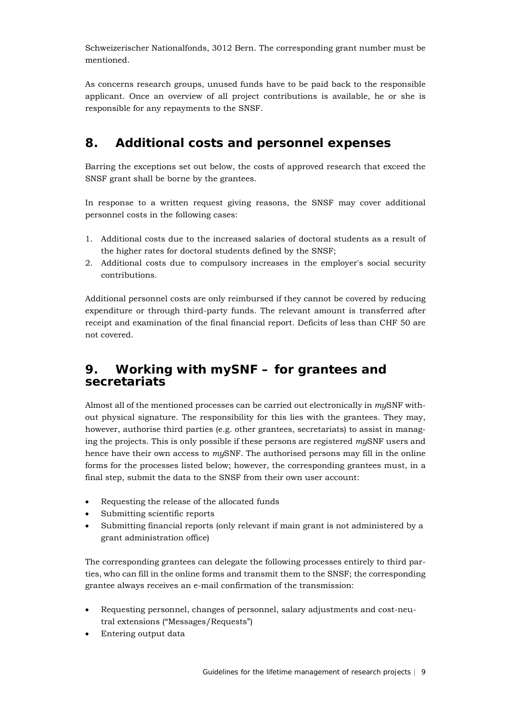Schweizerischer Nationalfonds, 3012 Bern. The corresponding grant number must be mentioned.

As concerns research groups, unused funds have to be paid back to the responsible applicant. Once an overview of all project contributions is available, he or she is responsible for any repayments to the SNSF.

## <span id="page-8-0"></span>**8. Additional costs and personnel expenses**

Barring the exceptions set out below, the costs of approved research that exceed the SNSF grant shall be borne by the grantees.

In response to a written request giving reasons, the SNSF may cover additional personnel costs in the following cases:

- 1. Additional costs due to the increased salaries of doctoral students as a result of the higher rates for doctoral students defined by the SNSF;
- 2. Additional costs due to compulsory increases in the employer's social security contributions.

Additional personnel costs are only reimbursed if they cannot be covered by reducing expenditure or through third-party funds. The relevant amount is transferred after receipt and examination of the final financial report. Deficits of less than CHF 50 are not covered.

### <span id="page-8-1"></span>**9. Working with** *my***SNF – for grantees and secretariats**

Almost all of the mentioned processes can be carried out electronically in *my*SNF without physical signature. The responsibility for this lies with the grantees. They may, however, authorise third parties (e.g. other grantees, secretariats) to assist in managing the projects. This is only possible if these persons are registered *my*SNF users and hence have their own access to *my*SNF. The authorised persons may fill in the online forms for the processes listed below; however, the corresponding grantees must, in a final step, submit the data to the SNSF from their own user account:

- Requesting the release of the allocated funds
- Submitting scientific reports
- Submitting financial reports (only relevant if main grant is not administered by a grant administration office)

The corresponding grantees can delegate the following processes entirely to third parties, who can fill in the online forms and transmit them to the SNSF; the corresponding grantee always receives an e-mail confirmation of the transmission:

- Requesting personnel, changes of personnel, salary adjustments and cost-neutral extensions ("Messages/Requests")
- Entering output data